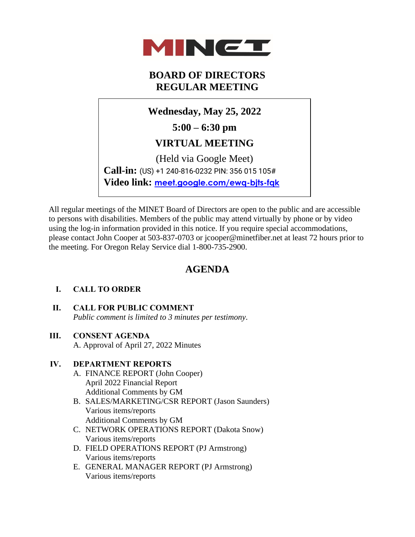

# **BOARD OF DIRECTORS REGULAR MEETING**

**Wednesday, May 25, 2022**

**5:00 – 6:30 pm**

## **VIRTUAL MEETING**

(Held via Google Meet) **Call-in:** (US) +1 240-816-0232 PIN: 356 015 105# **Video link: [meet.google.com/ewq-bjts-fqk](https://meet.google.com/ewq-bjts-fqk)**

All regular meetings of the MINET Board of Directors are open to the public and are accessible to persons with disabilities. Members of the public may attend virtually by phone or by video using the log-in information provided in this notice. If you require special accommodations, please contact John Cooper at 503-837-0703 or jcooper@minetfiber.net at least 72 hours prior to the meeting. For Oregon Relay Service dial 1-800-735-2900.

# **AGENDA**

## **I. CALL TO ORDER**

- **II. CALL FOR PUBLIC COMMENT**  *Public comment is limited to 3 minutes per testimony*.
- **III. CONSENT AGENDA**

A. Approval of April 27, 2022 Minutes

## **IV. DEPARTMENT REPORTS**

- A. FINANCE REPORT (John Cooper) April 2022 Financial Report Additional Comments by GM
- B. SALES/MARKETING/CSR REPORT (Jason Saunders) Various items/reports Additional Comments by GM
- C. NETWORK OPERATIONS REPORT (Dakota Snow) Various items/reports
- D. FIELD OPERATIONS REPORT (PJ Armstrong) Various items/reports
- E. GENERAL MANAGER REPORT (PJ Armstrong) Various items/reports